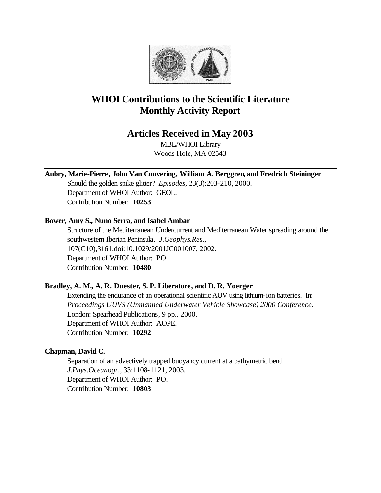

# **WHOI Contributions to the Scientific Literature Monthly Activity Report**

## **Articles Received in May 2003**

MBL/WHOI Library Woods Hole, MA 02543

**Aubry, Marie-Pierre, John Van Couvering, William A. Berggren, and Fredrich Steininger**

Should the golden spike glitter? *Episodes*, 23(3):203-210, 2000. Department of WHOI Author: GEOL. Contribution Number: **10253**

## **Bower, Amy S., Nuno Serra, and Isabel Ambar**

Structure of the Mediterranean Undercurrent and Mediterranean Water spreading around the southwestern Iberian Peninsula. *J.Geophys.Res.*, 107(C10),3161,doi:10.1029/2001JC001007, 2002. Department of WHOI Author: PO. Contribution Number: **10480**

## **Bradley, A. M., A. R. Duester, S. P. Liberatore, and D. R. Yoerger**

Extending the endurance of an operational scientific AUV using lithium-ion batteries. In: *Proceedings UUVS (Unmanned Underwater Vehicle Showcase) 2000 Conference.*  London: Spearhead Publications, 9 pp., 2000. Department of WHOI Author: AOPE. Contribution Number: **10292**

## **Chapman, David C.**

Separation of an advectively trapped buoyancy current at a bathymetric bend. *J.Phys.Oceanogr.*, 33:1108-1121, 2003. Department of WHOI Author: PO. Contribution Number: **10803**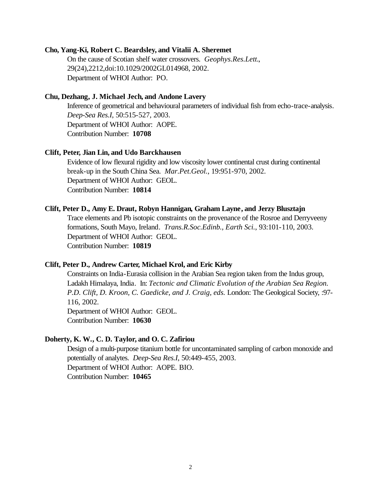#### **Cho, Yang-Ki, Robert C. Beardsley, and Vitalii A. Sheremet**

On the cause of Scotian shelf water crossovers. *Geophys.Res.Lett.*, 29(24),2212,doi:10.1029/2002GL014968, 2002. Department of WHOI Author: PO.

#### **Chu, Dezhang, J. Michael Jech, and Andone Lavery**

Inference of geometrical and behavioural parameters of individual fish from echo-trace-analysis. *Deep-Sea Res.I*, 50:515-527, 2003. Department of WHOI Author: AOPE. Contribution Number: **10708**

#### **Clift, Peter, Jian Lin, and Udo Barckhausen**

Evidence of low flexural rigidity and low viscosity lower continental crust during continental break-up in the South China Sea. *Mar.Pet.Geol.*, 19:951-970, 2002. Department of WHOI Author: GEOL. Contribution Number: **10814**

#### **Clift, Peter D., Amy E. Draut, Robyn Hannigan, Graham Layne, and Jerzy Blusztajn**

Trace elements and Pb isotopic constraints on the provenance of the Rosroe and Derryveeny formations, South Mayo, Ireland. *Trans.R.Soc.Edinb., Earth Sci.*, 93:101-110, 2003. Department of WHOI Author: GEOL. Contribution Number: **10819**

#### **Clift, Peter D., Andrew Carter, Michael Krol, and Eric Kirby**

Constraints on India-Eurasia collision in the Arabian Sea region taken from the Indus group, Ladakh Himalaya, India. In: *Tectonic and Climatic Evolution of the Arabian Sea Region. P.D. Clift, D. Kroon, C. Gaedicke, and J. Craig, eds.* London: The Geological Society, :97- 116, 2002. Department of WHOI Author: GEOL.

Contribution Number: **10630**

#### **Doherty, K. W., C. D. Taylor, and O. C. Zafiriou**

Design of a multi-purpose titanium bottle for uncontaminated sampling of carbon monoxide and potentially of analytes. *Deep-Sea Res.I*, 50:449-455, 2003. Department of WHOI Author: AOPE. BIO. Contribution Number: **10465**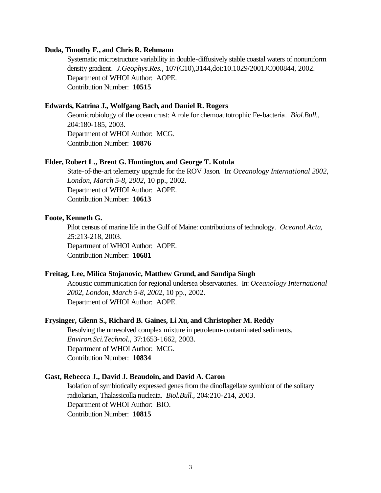#### **Duda, Timothy F., and Chris R. Rehmann**

Systematic microstructure variability in double-diffusively stable coastal waters of nonuniform density gradient. *J.Geophys.Res.*, 107(C10),3144,doi:10.1029/2001JC000844, 2002. Department of WHOI Author: AOPE. Contribution Number: **10515**

#### **Edwards, Katrina J., Wolfgang Bach, and Daniel R. Rogers**

Geomicrobiology of the ocean crust: A role for chemoautotrophic Fe-bacteria. *Biol.Bull.*, 204:180-185, 2003. Department of WHOI Author: MCG. Contribution Number: **10876**

#### **Elder, Robert L., Brent G. Huntington, and George T. Kotula**

State-of-the-art telemetry upgrade for the ROV Jason. In: *Oceanology International 2002, London, March 5-8, 2002*, 10 pp., 2002. Department of WHOI Author: AOPE. Contribution Number: **10613**

#### **Foote, Kenneth G.**

Pilot census of marine life in the Gulf of Maine: contributions of technology. *Oceanol.Acta*, 25:213-218, 2003. Department of WHOI Author: AOPE. Contribution Number: **10681**

#### **Freitag, Lee, Milica Stojanovic, Matthew Grund, and Sandipa Singh**

Acoustic communication for regional undersea observatories. In: *Oceanology International 2002, London, March 5-8, 2002*, 10 pp., 2002. Department of WHOI Author: AOPE.

#### **Frysinger, Glenn S., Richard B. Gaines, Li Xu, and Christopher M. Reddy**

Resolving the unresolved complex mixture in petroleum-contaminated sediments. *Environ.Sci.Technol.*, 37:1653-1662, 2003. Department of WHOI Author: MCG. Contribution Number: **10834**

#### **Gast, Rebecca J., David J. Beaudoin, and David A. Caron**

Isolation of symbiotically expressed genes from the dinoflagellate symbiont of the solitary radiolarian, Thalassicolla nucleata. *Biol.Bull.*, 204:210-214, 2003. Department of WHOI Author: BIO. Contribution Number: **10815**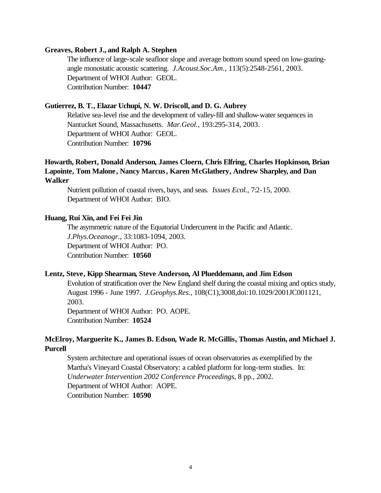#### **Greaves, Robert J., and Ralph A. Stephen**

The influence of large-scale seafloor slope and average bottom sound speed on low-grazingangle monostatic acoustic scattering. *J.Acoust.Soc.Am.*, 113(5):2548-2561, 2003. Department of WHOI Author: GEOL. Contribution Number: **10447**

#### **Gutierrez, B. T., Elazar Uchupi, N. W. Driscoll, and D. G. Aubrey**

Relative sea-level rise and the development of valley-fill and shallow-water sequences in Nantucket Sound, Massachusetts. *Mar.Geol.*, 193:295-314, 2003. Department of WHOI Author: GEOL. Contribution Number: **10796**

## **Howarth, Robert, Donald Anderson, James Cloern, Chris Elfring, Charles Hopkinson, Brian Lapointe, Tom Malone, Nancy Marcus, Karen McGlathery, Andrew Sharpley, and Dan Walker**

Nutrient pollution of coastal rivers, bays, and seas. *Issues Ecol.*, 7:2-15, 2000. Department of WHOI Author: BIO.

#### **Huang, Rui Xin, and Fei Fei Jin**

The asymmetric nature of the Equatorial Undercurrent in the Pacific and Atlantic. *J.Phys.Oceanogr.*, 33:1083-1094, 2003. Department of WHOI Author: PO. Contribution Number: **10560**

#### **Lentz, Steve, Kipp Shearman, Steve Anderson, Al Plueddemann, and Jim Edson**

Evolution of stratification over the New England shelf during the coastal mixing and optics study, August 1996 - June 1997. *J.Geophys.Res.*, 108(C1),3008,doi:10.1029/2001JC001121, 2003.

Department of WHOI Author: PO. AOPE. Contribution Number: **10524**

## **McElroy, Marguerite K., James B. Edson, Wade R. McGillis, Thomas Austin, and Michael J. Purcell**

System architecture and operational issues of ocean observatories as exemplified by the Martha's Vineyard Coastal Observatory: a cabled platform for long-term studies. In: *Underwater Intervention 2002 Conference Proceedings*, 8 pp., 2002. Department of WHOI Author: AOPE. Contribution Number: **10590**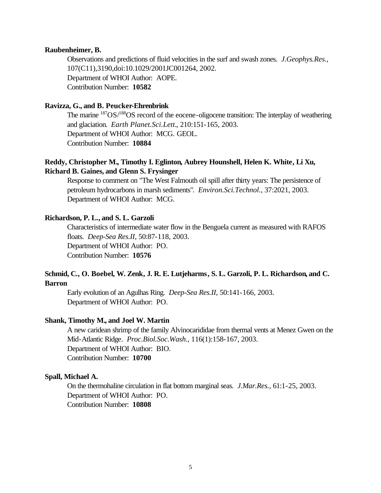#### **Raubenheimer, B.**

Observations and predictions of fluid velocities in the surf and swash zones. *J.Geophys.Res.*, 107(C11),3190,doi:10.1029/2001JC001264, 2002. Department of WHOI Author: AOPE. Contribution Number: **10582**

## **Ravizza, G., and B. Peucker-Ehrenbrink**

The marine  $187OS/188OS$  record of the eocene-oligocene transition: The interplay of weathering and glaciation. *Earth Planet.Sci.Lett.*, 210:151-165, 2003. Department of WHOI Author: MCG. GEOL. Contribution Number: **10884**

## **Reddy, Christopher M., Timothy I. Eglinton, Aubrey Hounshell, Helen K. White, Li Xu, Richard B. Gaines, and Glenn S. Frysinger**

Response to comment on "The West Falmouth oil spill after thirty years: The persistence of petroleum hydrocarbons in marsh sediments". *Environ.Sci.Technol.*, 37:2021, 2003. Department of WHOI Author: MCG.

#### **Richardson, P. L., and S. L. Garzoli**

Characteristics of intermediate water flow in the Benguela current as measured with RAFOS floats. *Deep-Sea Res.II*, 50:87-118, 2003. Department of WHOI Author: PO. Contribution Number: **10576**

## **Schmid, C., O. Boebel, W. Zenk, J. R. E. Lutjeharms, S. L. Garzoli, P. L. Richardson, and C. Barron**

Early evolution of an Agulhas Ring. *Deep-Sea Res.II*, 50:141-166, 2003. Department of WHOI Author: PO.

#### **Shank, Timothy M., and Joel W. Martin**

A new caridean shrimp of the family Alvinocarididae from thermal vents at Menez Gwen on the Mid-Atlantic Ridge. *Proc.Biol.Soc.Wash.*, 116(1):158-167, 2003. Department of WHOI Author: BIO. Contribution Number: **10700**

#### **Spall, Michael A.**

On the thermohaline circulation in flat bottom marginal seas. *J.Mar.Res.*, 61:1-25, 2003. Department of WHOI Author: PO. Contribution Number: **10808**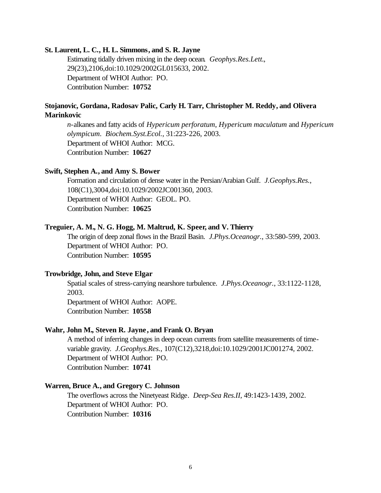#### **St. Laurent, L. C., H. L. Simmons, and S. R. Jayne**

Estimating tidally driven mixing in the deep ocean. *Geophys.Res.Lett.*, 29(23),2106,doi:10.1029/2002GL015633, 2002. Department of WHOI Author: PO. Contribution Number: **10752**

## **Stojanovic, Gordana, Radosav Palic, Carly H. Tarr, Christopher M. Reddy, and Olivera Marinkovic**

*n*-alkanes and fatty acids of *Hypericum perforatum*, *Hypericum maculatum* and *Hypericum olympicum*. *Biochem.Syst.Ecol.*, 31:223-226, 2003. Department of WHOI Author: MCG. Contribution Number: **10627**

#### **Swift, Stephen A., and Amy S. Bower**

Formation and circulation of dense water in the Persian/Arabian Gulf. *J.Geophys.Res.*, 108(C1),3004,doi:10.1029/2002JC001360, 2003. Department of WHOI Author: GEOL. PO. Contribution Number: **10625**

#### **Treguier, A. M., N. G. Hogg, M. Maltrud, K. Speer, and V. Thierry**

The origin of deep zonal flows in the Brazil Basin. *J.Phys.Oceanogr.*, 33:580-599, 2003. Department of WHOI Author: PO. Contribution Number: **10595**

#### **Trowbridge, John, and Steve Elgar**

Spatial scales of stress-carrying nearshore turbulence. *J.Phys.Oceanogr.*, 33:1122-1128, 2003.

Department of WHOI Author: AOPE. Contribution Number: **10558**

#### **Wahr, John M., Steven R. Jayne , and Frank O. Bryan**

A method of inferring changes in deep ocean currents from satellite measurements of timevariable gravity. *J.Geophys.Res.*, 107(C12),3218,doi:10.1029/2001JC001274, 2002. Department of WHOI Author: PO. Contribution Number: **10741**

#### **Warren, Bruce A., and Gregory C. Johnson**

The overflows across the Ninetyeast Ridge. *Deep-Sea Res.II*, 49:1423-1439, 2002. Department of WHOI Author: PO. Contribution Number: **10316**